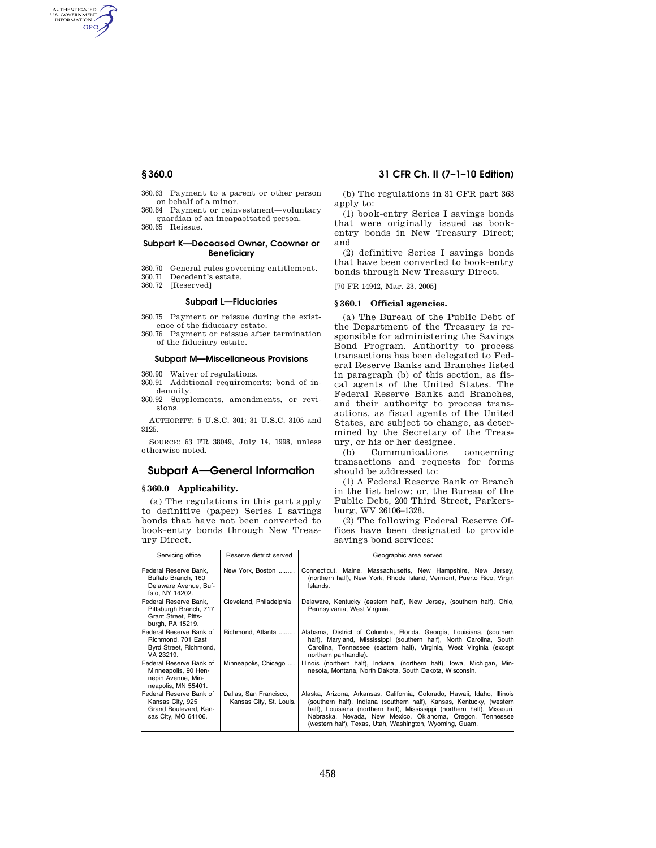AUTHENTICATED<br>U.S. GOVERNMENT<br>INFORMATION **GPO** 

- 360.63 Payment to a parent or other person on behalf of a minor.
- 360.64 Payment or reinvestment—voluntary
- guardian of an incapacitated person. 360.65 Reissue.

#### **Subpart K—Deceased Owner, Coowner or Beneficiary**

- 360.70 General rules governing entitlement.
- Decedent's estate.
- 360.72 [Reserved]

## **Subpart L—Fiduciaries**

- 360.75 Payment or reissue during the existence of the fiduciary estate.
- 360.76 Payment or reissue after termination of the fiduciary estate.

## **Subpart M—Miscellaneous Provisions**

- 360.90 Waiver of regulations.
- 360.91 Additional requirements; bond of indemnity.
- 360.92 Supplements, amendments, or revisions.

AUTHORITY: 5 U.S.C. 301; 31 U.S.C. 3105 and 3125.

SOURCE: 63 FR 38049, July 14, 1998, unless otherwise noted.

# **Subpart A—General Information**

## **§ 360.0 Applicability.**

(a) The regulations in this part apply to definitive (paper) Series I savings bonds that have not been converted to book-entry bonds through New Treasury Direct.

# **§ 360.0 31 CFR Ch. II (7–1–10 Edition)**

(b) The regulations in 31 CFR part 363 apply to:

(1) book-entry Series I savings bonds that were originally issued as bookentry bonds in New Treasury Direct; and

(2) definitive Series I savings bonds that have been converted to book-entry bonds through New Treasury Direct.

[70 FR 14942, Mar. 23, 2005]

## **§ 360.1 Official agencies.**

(a) The Bureau of the Public Debt of the Department of the Treasury is responsible for administering the Savings Bond Program. Authority to process transactions has been delegated to Federal Reserve Banks and Branches listed in paragraph (b) of this section, as fiscal agents of the United States. The Federal Reserve Banks and Branches, and their authority to process transactions, as fiscal agents of the United States, are subject to change, as determined by the Secretary of the Treasury, or his or her designee.

(b) Communications concerning transactions and requests for forms should be addressed to:

(1) A Federal Reserve Bank or Branch in the list below; or, the Bureau of the Public Debt, 200 Third Street, Parkersburg, WV 26106–1328.

(2) The following Federal Reserve Offices have been designated to provide savings bond services:

| Servicing office                                                                             | Reserve district served                           | Geographic area served                                                                                                                                                                                                                                                                                                                               |
|----------------------------------------------------------------------------------------------|---------------------------------------------------|------------------------------------------------------------------------------------------------------------------------------------------------------------------------------------------------------------------------------------------------------------------------------------------------------------------------------------------------------|
| Federal Reserve Bank,<br>Buffalo Branch, 160<br>Delaware Avenue, Buf-<br>falo, NY 14202.     | New York, Boston                                  | Connecticut, Maine, Massachusetts, New Hampshire, New Jersey,<br>(northern half), New York, Rhode Island, Vermont, Puerto Rico, Virgin<br>Islands.                                                                                                                                                                                                   |
| Federal Reserve Bank.<br>Pittsburgh Branch, 717<br>Grant Street, Pitts-<br>burgh, PA 15219.  | Cleveland, Philadelphia                           | Delaware, Kentucky (eastern half), New Jersey, (southern half), Ohio,<br>Pennsylvania, West Virginia.                                                                                                                                                                                                                                                |
| Federal Reserve Bank of<br>Richmond, 701 East<br>Byrd Street, Richmond,<br>VA 23219.         | Richmond. Atlanta                                 | Alabama, District of Columbia, Florida, Georgia, Louisiana, (southern<br>half), Maryland, Mississippi (southern half), North Carolina, South<br>Carolina, Tennessee (eastern half), Virginia, West Virginia (except<br>northern panhandle).                                                                                                          |
| Federal Reserve Bank of<br>Minneapolis, 90 Hen-<br>nepin Avenue, Min-<br>neapolis, MN 55401. | Minneapolis, Chicago                              | Illinois (northern half), Indiana, (northern half), Iowa, Michigan, Min-<br>nesota, Montana, North Dakota, South Dakota, Wisconsin.                                                                                                                                                                                                                  |
| Federal Reserve Bank of<br>Kansas City, 925<br>Grand Boulevard, Kan-<br>sas City, MO 64106.  | Dallas, San Francisco,<br>Kansas City, St. Louis. | Alaska, Arizona, Arkansas, California, Colorado, Hawaii, Idaho, Illinois<br>(southern half), Indiana (southern half), Kansas, Kentucky, (western<br>half), Louisiana (northern half), Mississippi (northern half), Missouri,<br>Nebraska, Nevada, New Mexico, Oklahoma, Oregon, Tennessee<br>(western half), Texas, Utah, Washington, Wyoming, Guam. |